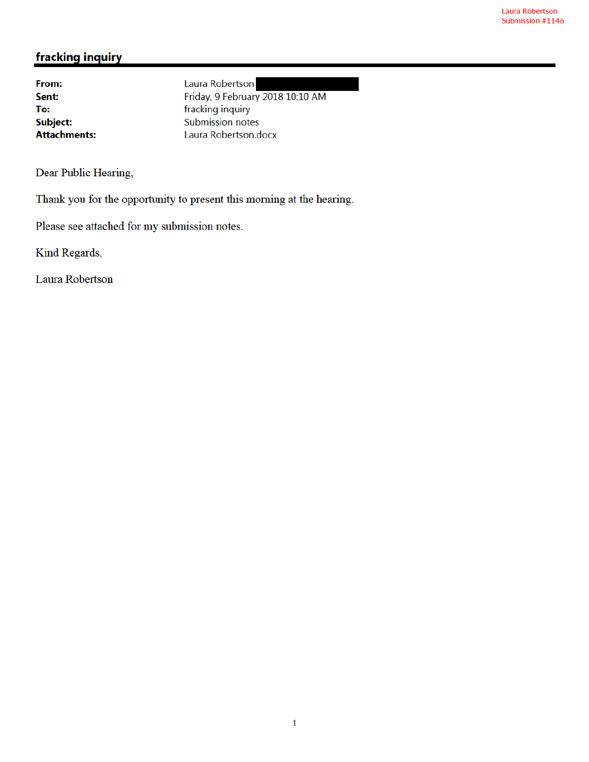# fracking inquiry

From: Sent: To: Subject: **Attachments:**  Laura Robertson Friday, 9 February 2018 10:10 AM fracking inquiry **Submission notes** Laura Robertson.docx

Dear Public Hearing,

Thank you for the opportunity to present this morning at the hearing.

Please see attached for my submission notes.

Kind Regards,

Laura Robertson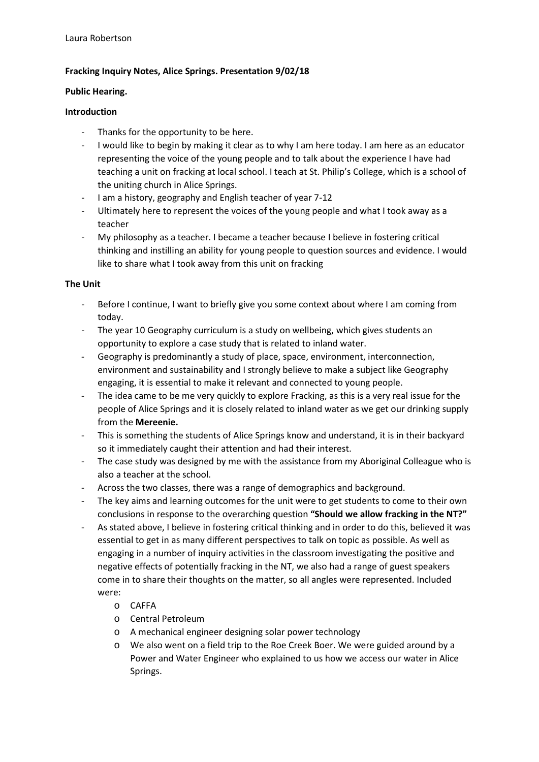## **Fracking Inquiry Notes, Alice Springs. Presentation 9/02/18**

#### **Public Hearing.**

#### **Introduction**

- Thanks for the opportunity to be here.
- I would like to begin by making it clear as to why I am here today. I am here as an educator representing the voice of the young people and to talk about the experience I have had teaching a unit on fracking at local school. I teach at St. Philip's College, which is a school of the uniting church in Alice Springs.
- I am a history, geography and English teacher of year 7-12
- Ultimately here to represent the voices of the young people and what I took away as a teacher
- My philosophy as a teacher. I became a teacher because I believe in fostering critical thinking and instilling an ability for young people to question sources and evidence. I would like to share what I took away from this unit on fracking

#### **The Unit**

- Before I continue, I want to briefly give you some context about where I am coming from today.
- The year 10 Geography curriculum is a study on wellbeing, which gives students an opportunity to explore a case study that is related to inland water.
- Geography is predominantly a study of place, space, environment, interconnection, environment and sustainability and I strongly believe to make a subject like Geography engaging, it is essential to make it relevant and connected to young people.
- The idea came to be me very quickly to explore Fracking, as this is a very real issue for the people of Alice Springs and it is closely related to inland water as we get our drinking supply from the **Mereenie.**
- This is something the students of Alice Springs know and understand, it is in their backyard so it immediately caught their attention and had their interest.
- The case study was designed by me with the assistance from my Aboriginal Colleague who is also a teacher at the school.
- Across the two classes, there was a range of demographics and background.
- The key aims and learning outcomes for the unit were to get students to come to their own conclusions in response to the overarching question **"Should we allow fracking in the NT?"**
- As stated above, I believe in fostering critical thinking and in order to do this, believed it was essential to get in as many different perspectives to talk on topic as possible. As well as engaging in a number of inquiry activities in the classroom investigating the positive and negative effects of potentially fracking in the NT, we also had a range of guest speakers come in to share their thoughts on the matter, so all angles were represented. Included were:
	- o CAFFA
	- o Central Petroleum
	- o A mechanical engineer designing solar power technology
	- o We also went on a field trip to the Roe Creek Boer. We were guided around by a Power and Water Engineer who explained to us how we access our water in Alice Springs.